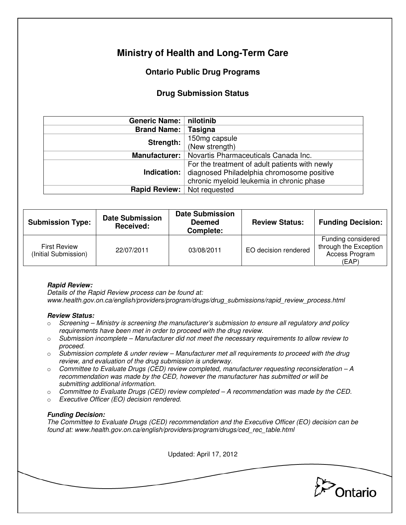# **Ministry of Health and Long-Term Care**

# **Ontario Public Drug Programs**

## **Drug Submission Status**

| <b>Generic Name:</b><br>nilotinib                            |  |  |
|--------------------------------------------------------------|--|--|
| Tasigna                                                      |  |  |
| 150mg capsule                                                |  |  |
| (New strength)                                               |  |  |
| <b>Manufacturer:</b><br>Novartis Pharmaceuticals Canada Inc. |  |  |
| For the treatment of adult patients with newly               |  |  |
| diagnosed Philadelphia chromosome positive                   |  |  |
| chronic myeloid leukemia in chronic phase                    |  |  |
| <b>Rapid Review:</b><br>Not requested                        |  |  |
| <b>Brand Name:</b><br>Strength:<br>Indication:               |  |  |

| <b>Submission Type:</b>                     | <b>Date Submission</b><br>Received: | <b>Date Submission</b><br><b>Deemed</b><br><b>Complete:</b> | <b>Review Status:</b> | <b>Funding Decision:</b>                                               |
|---------------------------------------------|-------------------------------------|-------------------------------------------------------------|-----------------------|------------------------------------------------------------------------|
| <b>First Review</b><br>(Initial Submission) | 22/07/2011                          | 03/08/2011                                                  | EO decision rendered  | Funding considered<br>through the Exception<br>Access Program<br>(EAP) |

## **Rapid Review:**

Details of the Rapid Review process can be found at: www.health.gov.on.ca/english/providers/program/drugs/drug\_submissions/rapid\_review\_process.html

### **Review Status:**

- $\circ$  Screening Ministry is screening the manufacturer's submission to ensure all regulatory and policy requirements have been met in order to proceed with the drug review.
- $\circ$  Submission incomplete Manufacturer did not meet the necessary requirements to allow review to proceed.
- $\circ$  Submission complete & under review Manufacturer met all requirements to proceed with the drug review, and evaluation of the drug submission is underway.
- $\circ$  Committee to Evaluate Drugs (CED) review completed, manufacturer requesting reconsideration  $-A$ recommendation was made by the CED, however the manufacturer has submitted or will be submitting additional information.
- $\circ$  Committee to Evaluate Drugs (CED) review completed  $-A$  recommendation was made by the CED.
- o Executive Officer (EO) decision rendered.

### **Funding Decision:**

The Committee to Evaluate Drugs (CED) recommendation and the Executive Officer (EO) decision can be found at: www.health.gov.on.ca/english/providers/program/drugs/ced\_rec\_table.html

Updated: April 17, 2012 Ontario